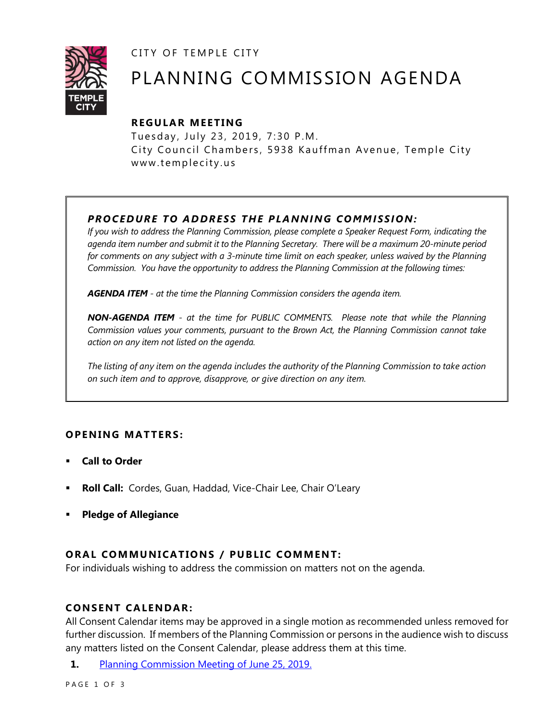CITY OF TEMPLE CITY



# PLANNING COMMISSION AGENDA

# **R EGULA R MEE TING**

Tuesday, July 23, 2019, 7:30 P.M. City Council Chambers, 5938 Kauffman Avenue, Temple City www.templecity.us

# *PRO CE DURE TO ADDRE SS THE P LA NNI NG COMM I SSION:*

*If you wish to address the Planning Commission, please complete a Speaker Request Form, indicating the agenda item number and submit it to the Planning Secretary. There will be a maximum 20-minute period*  for comments on any subject with a 3-minute time limit on each speaker, unless waived by the Planning *Commission. You have the opportunity to address the Planning Commission at the following times:*

*AGENDA ITEM - at the time the Planning Commission considers the agenda item.*

*NON-AGENDA ITEM - at the time for PUBLIC COMMENTS. Please note that while the Planning Commission values your comments, pursuant to the Brown Act, the Planning Commission cannot take action on any item not listed on the agenda.*

*The listing of any item on the agenda includes the authority of the Planning Commission to take action on such item and to approve, disapprove, or give direction on any item.*

## **OPENING MATTERS:**

- **Call to Order**
- **Roll Call:** Cordes, Guan, Haddad, Vice-Chair Lee, Chair O'Leary
- **Pledge of Allegiance**

## **ORAL COMMUNICATIONS / PUBLIC COMMENT:**

For individuals wishing to address the commission on matters not on the agenda.

#### **CONSENT CA LENDAR:**

All Consent Calendar items may be approved in a single motion as recommended unless removed for further discussion. If members of the Planning Commission or persons in the audience wish to discuss any matters listed on the Consent Calendar, please address them at this time.

**1.** [Planning Commission Meeting of June](https://www.ci.temple-city.ca.us/DocumentCenter/View/12822/PCM-0625) 25, 2019.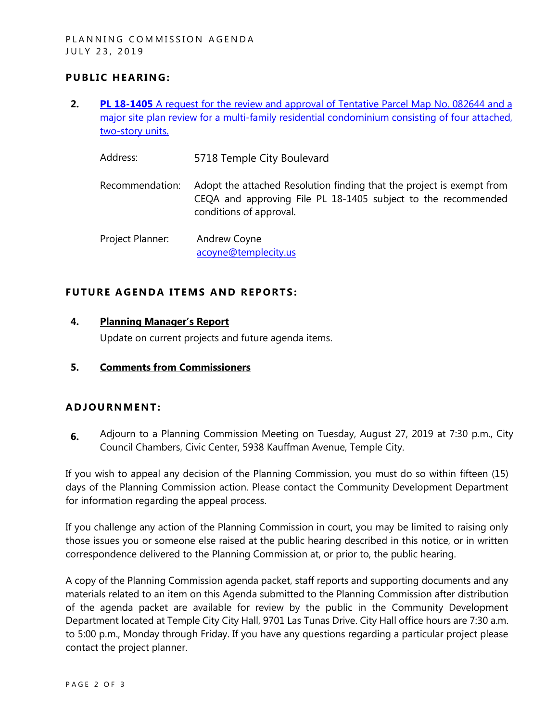## **PUBLIC HEARING:**

- **2. PL 18-1405** [A request for the review and approval of Tentative Parcel Map No. 082644 and a](https://www.ci.temple-city.ca.us/DocumentCenter/View/12823/PL-18-1405-5718-Temple-City-Attachment-1)  [major site plan review for a multi-family residential condominium consisting of four attached,](https://www.ci.temple-city.ca.us/DocumentCenter/View/12823/PL-18-1405-5718-Temple-City-Attachment-1)  [two-story units.](https://www.ci.temple-city.ca.us/DocumentCenter/View/12823/PL-18-1405-5718-Temple-City-Attachment-1)
	- Address: 5718 Temple City Boulevard
	- Recommendation: Adopt the attached Resolution finding that the project is exempt from CEQA and approving File PL 18-1405 subject to the recommended conditions of approval.
	- Project Planner: Andrew Coyne [acoyne@templecity.us](mailto:acoyne@templecity.us)

#### **FUTURE AGENDA ITEMS AND REPORTS:**

#### **4. Planning Manager's Report**

Update on current projects and future agenda items.

**5. Comments from Commissioners**

#### **ADJOU RNMENT:**

**6.** Adjourn to a Planning Commission Meeting on Tuesday, August 27, 2019 at 7:30 p.m., City Council Chambers, Civic Center, 5938 Kauffman Avenue, Temple City.

If you wish to appeal any decision of the Planning Commission, you must do so within fifteen (15) days of the Planning Commission action. Please contact the Community Development Department for information regarding the appeal process.

If you challenge any action of the Planning Commission in court, you may be limited to raising only those issues you or someone else raised at the public hearing described in this notice, or in written correspondence delivered to the Planning Commission at, or prior to, the public hearing.

A copy of the Planning Commission agenda packet, staff reports and supporting documents and any materials related to an item on this Agenda submitted to the Planning Commission after distribution of the agenda packet are available for review by the public in the Community Development Department located at Temple City City Hall, 9701 Las Tunas Drive. City Hall office hours are 7:30 a.m. to 5:00 p.m., Monday through Friday. If you have any questions regarding a particular project please contact the project planner.